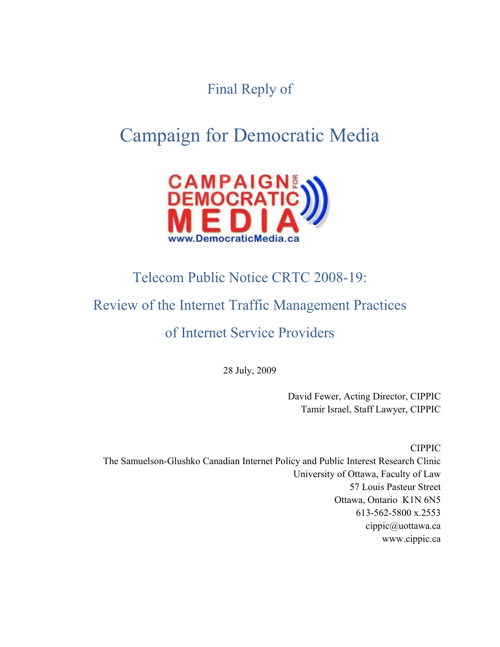Final Reply of

# Campaign for Democratic Media



# Telecom Public Notice CRTC 2008-19:

# Review of the Internet Traffic Management Practices

# of Internet Service Providers

28 July, 2009

David Fewer, Acting Director, CIPPIC Tamir Israel, Staff Lawyer, CIPPIC

CIPPIC The Samuelson-Glushko Canadian Internet Policy and Public Interest Research Clinic University of Ottawa, Faculty of Law 57 Louis Pasteur Street Ottawa, Ontario K1N 6N5 613-562-5800 x.2553 cippic@uottawa.ca www.cippic.ca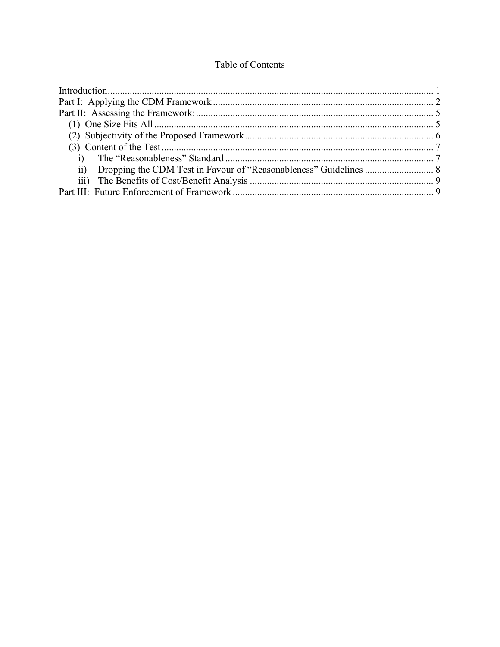## Table of Contents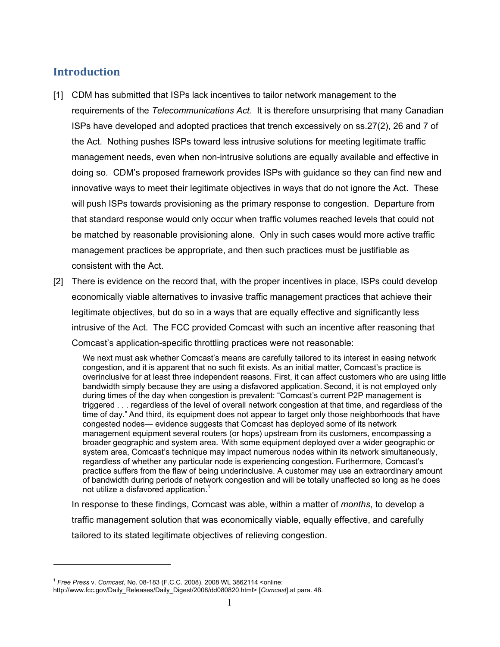# **Introduction**

- [1] CDM has submitted that ISPs lack incentives to tailor network management to the requirements of the *Telecommunications Act*. It is therefore unsurprising that many Canadian ISPs have developed and adopted practices that trench excessively on ss.27(2), 26 and 7 of the Act. Nothing pushes ISPs toward less intrusive solutions for meeting legitimate traffic management needs, even when non-intrusive solutions are equally available and effective in doing so. CDM's proposed framework provides ISPs with guidance so they can find new and innovative ways to meet their legitimate objectives in ways that do not ignore the Act. These will push ISPs towards provisioning as the primary response to congestion. Departure from that standard response would only occur when traffic volumes reached levels that could not be matched by reasonable provisioning alone. Only in such cases would more active traffic management practices be appropriate, and then such practices must be justifiable as consistent with the Act.
- [2] There is evidence on the record that, with the proper incentives in place, ISPs could develop economically viable alternatives to invasive traffic management practices that achieve their legitimate objectives, but do so in a ways that are equally effective and significantly less intrusive of the Act. The FCC provided Comcast with such an incentive after reasoning that Comcast's application-specific throttling practices were not reasonable:

We next must ask whether Comcast's means are carefully tailored to its interest in easing network congestion, and it is apparent that no such fit exists. As an initial matter, Comcast's practice is overinclusive for at least three independent reasons. First, it can affect customers who are using little bandwidth simply because they are using a disfavored application. Second, it is not employed only during times of the day when congestion is prevalent: "Comcast's current P2P management is triggered . . . regardless of the level of overall network congestion at that time, and regardless of the time of day." And third, its equipment does not appear to target only those neighborhoods that have congested nodes— evidence suggests that Comcast has deployed some of its network management equipment several routers (or hops) upstream from its customers, encompassing a broader geographic and system area. With some equipment deployed over a wider geographic or system area, Comcast's technique may impact numerous nodes within its network simultaneously, regardless of whether any particular node is experiencing congestion. Furthermore, Comcast's practice suffers from the flaw of being underinclusive. A customer may use an extraordinary amount of bandwidth during periods of network congestion and will be totally unaffected so long as he does not utilize a disfavored application.<sup>1</sup>

In response to these findings, Comcast was able, within a matter of *months*, to develop a traffic management solution that was economically viable, equally effective, and carefully tailored to its stated legitimate objectives of relieving congestion.

<sup>1</sup> *Free Press* v. *Comcast*, No. 08-183 (F.C.C. 2008), 2008 WL 3862114 <online:

http://www.fcc.gov/Daily\_Releases/Daily\_Digest/2008/dd080820.html> [*Comcast*].at para. 48.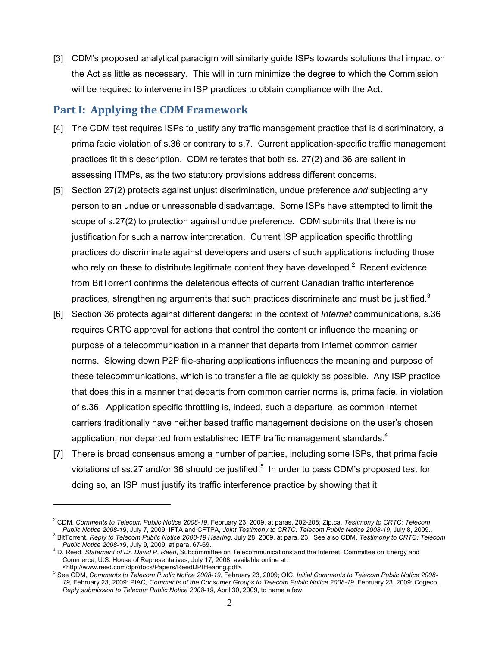[3] CDM's proposed analytical paradigm will similarly guide ISPs towards solutions that impact on the Act as little as necessary. This will in turn minimize the degree to which the Commission will be required to intervene in ISP practices to obtain compliance with the Act.

## **Part I: Applying the CDM Framework**

- [4] The CDM test requires ISPs to justify any traffic management practice that is discriminatory, a prima facie violation of s.36 or contrary to s.7. Current application-specific traffic management practices fit this description. CDM reiterates that both ss. 27(2) and 36 are salient in assessing ITMPs, as the two statutory provisions address different concerns.
- [5] Section 27(2) protects against unjust discrimination, undue preference *and* subjecting any person to an undue or unreasonable disadvantage. Some ISPs have attempted to limit the scope of s.27(2) to protection against undue preference. CDM submits that there is no justification for such a narrow interpretation. Current ISP application specific throttling practices do discriminate against developers and users of such applications including those who rely on these to distribute legitimate content they have developed.<sup>2</sup> Recent evidence from BitTorrent confirms the deleterious effects of current Canadian traffic interference practices, strengthening arguments that such practices discriminate and must be justified. $3$
- [6] Section 36 protects against different dangers: in the context of *Internet* communications, s.36 requires CRTC approval for actions that control the content or influence the meaning or purpose of a telecommunication in a manner that departs from Internet common carrier norms. Slowing down P2P file-sharing applications influences the meaning and purpose of these telecommunications, which is to transfer a file as quickly as possible. Any ISP practice that does this in a manner that departs from common carrier norms is, prima facie, in violation of s.36. Application specific throttling is, indeed, such a departure, as common Internet carriers traditionally have neither based traffic management decisions on the user's chosen application, nor departed from established IETF traffic management standards.<sup>4</sup>
- [7] There is broad consensus among a number of parties, including some ISPs, that prima facie violations of ss.27 and/or 36 should be justified.<sup>5</sup> In order to pass CDM's proposed test for doing so, an ISP must justify its traffic interference practice by showing that it:

<sup>2</sup> CDM, *Comments to Telecom Public Notice 2008-19*, February 23, 2009, at paras. 202-208; Zip.ca, *Testimony to CRTC: Telecom Public Notice 2008-19*, July 7, 2009; IFTA and CFTPA, *Joint Testimony to CRTC: Telecom Public Notice 2008-19*, July 8, 2009.. 3

BitTorrent, *Reply to Telecom Public Notice 2008-19 Hearing*, July 28, 2009, at para. 23. See also CDM, *Testimony to CRTC: Telecom Public Notice 2008-19*, July 9, 2009, at para. 67-69. 4

D. Reed, *Statement of Dr. David P. Reed*, Subcommittee on Telecommunications and the Internet, Committee on Energy and Commerce, U.S. House of Representatives, July 17, 2008, available online at: <http://www.reed.com/dpr/docs/Papers/ReedDPIHearing.pdf>. 5

See CDM, *Comments to Telecom Public Notice 2008-19*, February 23, 2009; OIC, *Initial Comments to Telecom Public Notice 2008- 19*, February 23, 2009; PIAC, *Comments of the Consumer Groups to Telecom Public Notice 2008-19*, February 23, 2009; Cogeco, *Reply submission to Telecom Public Notice 2008-19*, April 30, 2009, to name a few.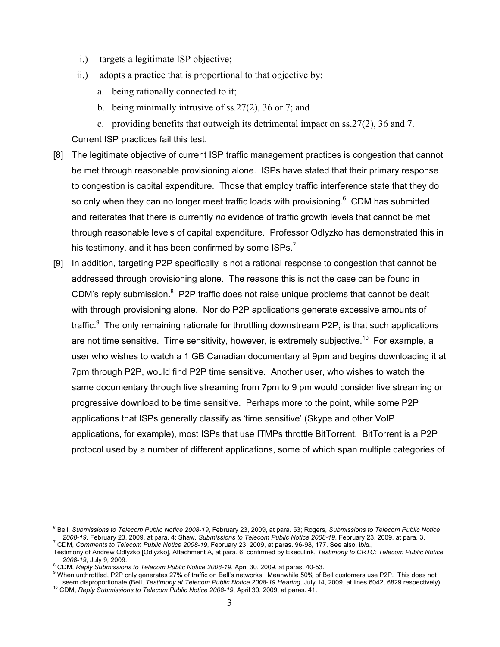- i.) targets a legitimate ISP objective;
- ii.) adopts a practice that is proportional to that objective by:
	- a. being rationally connected to it;
	- b. being minimally intrusive of ss.27(2), 36 or 7; and
	- c. providing benefits that outweigh its detrimental impact on ss.27(2), 36 and 7.

Current ISP practices fail this test.

- [8] The legitimate objective of current ISP traffic management practices is congestion that cannot be met through reasonable provisioning alone. ISPs have stated that their primary response to congestion is capital expenditure. Those that employ traffic interference state that they do so only when they can no longer meet traffic loads with provisioning. $6$  CDM has submitted and reiterates that there is currently *no* evidence of traffic growth levels that cannot be met through reasonable levels of capital expenditure. Professor Odlyzko has demonstrated this in his testimony, and it has been confirmed by some  $1SPs.<sup>7</sup>$
- [9] In addition, targeting P2P specifically is not a rational response to congestion that cannot be addressed through provisioning alone. The reasons this is not the case can be found in CDM's reply submission.<sup>8</sup> P2P traffic does not raise unique problems that cannot be dealt with through provisioning alone. Nor do P2P applications generate excessive amounts of traffic.<sup>9</sup> The only remaining rationale for throttling downstream P2P, is that such applications are not time sensitive. Time sensitivity, however, is extremely subjective.<sup>10</sup> For example, a user who wishes to watch a 1 GB Canadian documentary at 9pm and begins downloading it at 7pm through P2P, would find P2P time sensitive. Another user, who wishes to watch the same documentary through live streaming from 7pm to 9 pm would consider live streaming or progressive download to be time sensitive. Perhaps more to the point, while some P2P applications that ISPs generally classify as 'time sensitive' (Skype and other VoIP applications, for example), most ISPs that use ITMPs throttle BitTorrent. BitTorrent is a P2P protocol used by a number of different applications, some of which span multiple categories of

<sup>6</sup> Bell, *Submissions to Telecom Public Notice 2008-19*, February 23, 2009, at para. 53; Rogers, *Submissions to Telecom Public Notice 2008-19*, February 23, 2009, at para. 4; Shaw, *Submissions to Telecom Public Notice 2008-19*, February 23, 2009, at para. 3. 7 CDM, *Comments to Telecom Public Notice 2008-19*, February 23, 2009, at paras. 96-98, 177. See also, i*bid*.,

Testimony of Andrew Odlyzko [Odlyzko], Attachment A, at para. 6, confirmed by Execulink, *Testimony to CRTC: Telecom Public Notice 2008-19*, July 9, 2009. 8

<sup>&</sup>lt;sup>8</sup> CDM, *Reply Submissions to Telecom Public Notice 2008-19*, April 30, 2009, at paras. 40-53.<br><sup>9</sup> Whan unthrottled, DPP sply generates 27% of trefficies Poll's potugals. Meanwhile 50% of D

When unthrottled, P2P only generates 27% of traffic on Bell's networks. Meanwhile 50% of Bell customers use P2P. This does not<br>seem disproportionate (Bell, Testimony at Telecom Public Notice 2008-19 Hearing, July 14, 2009, <sup>10</sup> CDM, Reply Submissions to Telecom Public Notice 2008-19, April 30, 2009, at paras. 41.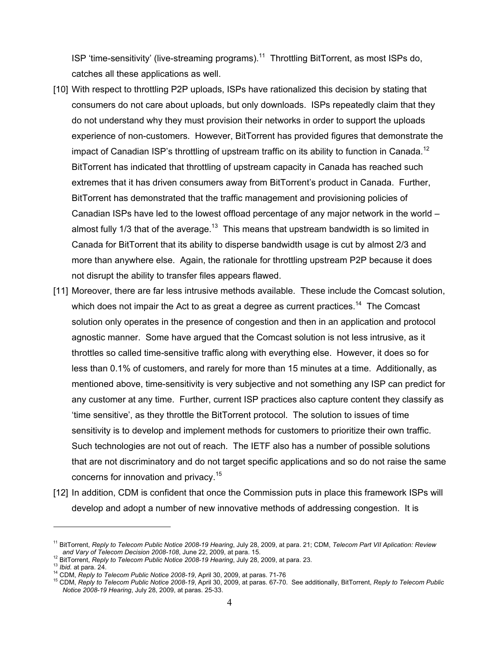ISP 'time-sensitivity' (live-streaming programs).<sup>11</sup> Throttling BitTorrent, as most ISPs do, catches all these applications as well.

- [10] With respect to throttling P2P uploads, ISPs have rationalized this decision by stating that consumers do not care about uploads, but only downloads. ISPs repeatedly claim that they do not understand why they must provision their networks in order to support the uploads experience of non-customers. However, BitTorrent has provided figures that demonstrate the impact of Canadian ISP's throttling of upstream traffic on its ability to function in Canada.<sup>12</sup> BitTorrent has indicated that throttling of upstream capacity in Canada has reached such extremes that it has driven consumers away from BitTorrent's product in Canada. Further, BitTorrent has demonstrated that the traffic management and provisioning policies of Canadian ISPs have led to the lowest offload percentage of any major network in the world – almost fully 1/3 that of the average.<sup>13</sup> This means that upstream bandwidth is so limited in Canada for BitTorrent that its ability to disperse bandwidth usage is cut by almost 2/3 and more than anywhere else. Again, the rationale for throttling upstream P2P because it does not disrupt the ability to transfer files appears flawed.
- [11] Moreover, there are far less intrusive methods available. These include the Comcast solution, which does not impair the Act to as great a degree as current practices.<sup>14</sup> The Comcast solution only operates in the presence of congestion and then in an application and protocol agnostic manner. Some have argued that the Comcast solution is not less intrusive, as it throttles so called time-sensitive traffic along with everything else. However, it does so for less than 0.1% of customers, and rarely for more than 15 minutes at a time. Additionally, as mentioned above, time-sensitivity is very subjective and not something any ISP can predict for any customer at any time. Further, current ISP practices also capture content they classify as 'time sensitive', as they throttle the BitTorrent protocol. The solution to issues of time sensitivity is to develop and implement methods for customers to prioritize their own traffic. Such technologies are not out of reach. The IETF also has a number of possible solutions that are not discriminatory and do not target specific applications and so do not raise the same concerns for innovation and privacy.<sup>15</sup>
- [12] In addition, CDM is confident that once the Commission puts in place this framework ISPs will develop and adopt a number of new innovative methods of addressing congestion. It is

<sup>11</sup> BitTorrent, *Reply to Telecom Public Notice 2008-19 Hearing*, July 28, 2009, at para. 21; CDM, *Telecom Part VII Aplication: Review* 

and vary or relection Decision 2006-100, Julie 22, 2009, at parts. 10.<br><sup>12</sup> BitTorrent, Reply to Telecom Public Notice 2008-19 Hearing, July 28, 2009, at para. 23.<br><sup>13</sup> Ibid. at para. 24.<br><sup>14</sup> CDM, Reply to Telecom Public *Notice 2008-19 Hearing*, July 28, 2009, at paras. 25-33.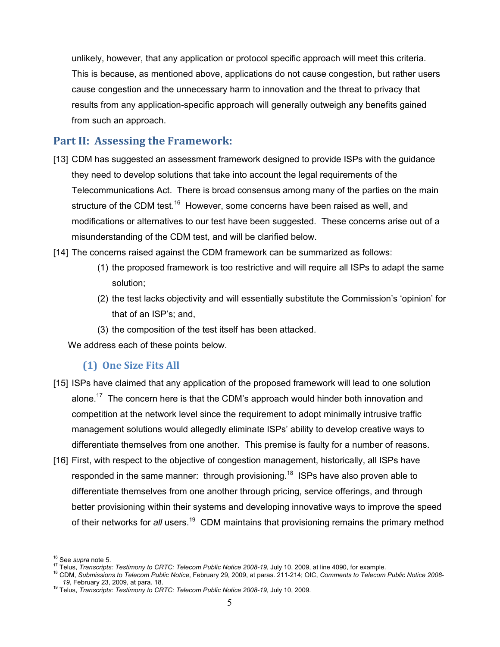unlikely, however, that any application or protocol specific approach will meet this criteria. This is because, as mentioned above, applications do not cause congestion, but rather users cause congestion and the unnecessary harm to innovation and the threat to privacy that results from any application-specific approach will generally outweigh any benefits gained from such an approach.

# **Part II: Assessing the Framework:**

- [13] CDM has suggested an assessment framework designed to provide ISPs with the guidance they need to develop solutions that take into account the legal requirements of the Telecommunications Act. There is broad consensus among many of the parties on the main structure of the CDM test.<sup>16</sup> However, some concerns have been raised as well, and modifications or alternatives to our test have been suggested. These concerns arise out of a misunderstanding of the CDM test, and will be clarified below.
- [14] The concerns raised against the CDM framework can be summarized as follows:
	- (1) the proposed framework is too restrictive and will require all ISPs to adapt the same solution;
	- (2) the test lacks objectivity and will essentially substitute the Commission's 'opinion' for that of an ISP's; and,
	- (3) the composition of the test itself has been attacked.

We address each of these points below.

#### **(1) One Size Fits All**

- [15] ISPs have claimed that any application of the proposed framework will lead to one solution alone.<sup>17</sup> The concern here is that the CDM's approach would hinder both innovation and competition at the network level since the requirement to adopt minimally intrusive traffic management solutions would allegedly eliminate ISPs' ability to develop creative ways to differentiate themselves from one another. This premise is faulty for a number of reasons.
- [16] First, with respect to the objective of congestion management, historically, all ISPs have responded in the same manner: through provisioning.<sup>18</sup> ISPs have also proven able to differentiate themselves from one another through pricing, service offerings, and through better provisioning within their systems and developing innovative ways to improve the speed of their networks for *all* users.19 CDM maintains that provisioning remains the primary method

<sup>&</sup>lt;sup>16</sup> See supra note 5.<br><sup>17</sup> Telus, *Transcripts: Testimony to CRTC: Telecom Public Notice 2008-19*, July 10, 2009, at line 4090, for example.<br><sup>18</sup> CDM, *Submissions to Telecom Public Notice*, February 29, 2009, at paras. 2

<sup>&</sup>lt;sup>19</sup> Telus, *Transcripts: Testimony to CRTC: Telecom Public Notice 2008-19*, July 10, 2009.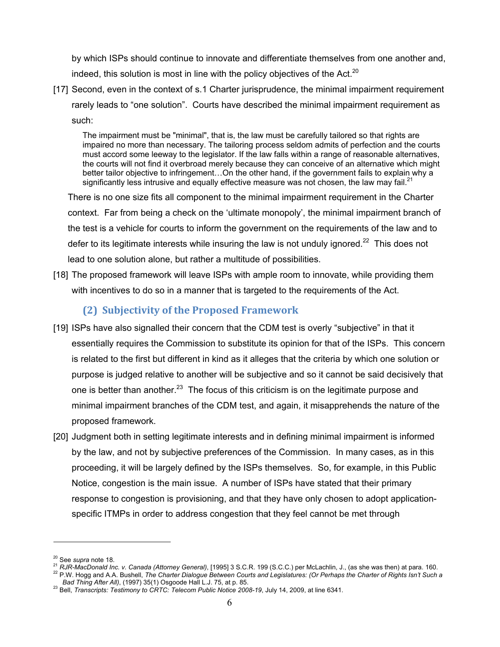by which ISPs should continue to innovate and differentiate themselves from one another and, indeed, this solution is most in line with the policy objectives of the Act. $20$ 

[17] Second, even in the context of s.1 Charter jurisprudence, the minimal impairment requirement rarely leads to "one solution". Courts have described the minimal impairment requirement as such:

The impairment must be "minimal", that is, the law must be carefully tailored so that rights are impaired no more than necessary. The tailoring process seldom admits of perfection and the courts must accord some leeway to the legislator. If the law falls within a range of reasonable alternatives, the courts will not find it overbroad merely because they can conceive of an alternative which might better tailor objective to infringement…On the other hand, if the government fails to explain why a significantly less intrusive and equally effective measure was not chosen, the law may fail.<sup>21</sup>

 There is no one size fits all component to the minimal impairment requirement in the Charter context. Far from being a check on the 'ultimate monopoly', the minimal impairment branch of the test is a vehicle for courts to inform the government on the requirements of the law and to defer to its legitimate interests while insuring the law is not unduly ignored.<sup>22</sup> This does not lead to one solution alone, but rather a multitude of possibilities.

[18] The proposed framework will leave ISPs with ample room to innovate, while providing them with incentives to do so in a manner that is targeted to the requirements of the Act.

### **(2) Subjectivity of the Proposed Framework**

- [19] ISPs have also signalled their concern that the CDM test is overly "subjective" in that it essentially requires the Commission to substitute its opinion for that of the ISPs. This concern is related to the first but different in kind as it alleges that the criteria by which one solution or purpose is judged relative to another will be subjective and so it cannot be said decisively that one is better than another.<sup>23</sup> The focus of this criticism is on the legitimate purpose and minimal impairment branches of the CDM test, and again, it misapprehends the nature of the proposed framework.
- [20] Judgment both in setting legitimate interests and in defining minimal impairment is informed by the law, and not by subjective preferences of the Commission. In many cases, as in this proceeding, it will be largely defined by the ISPs themselves. So, for example, in this Public Notice, congestion is the main issue. A number of ISPs have stated that their primary response to congestion is provisioning, and that they have only chosen to adopt applicationspecific ITMPs in order to address congestion that they feel cannot be met through

<sup>&</sup>lt;sup>20</sup> See supra note 18.<br><sup>21</sup> RJR-MacDonald Inc. v. Canada (Attorney General), [1995] 3 S.C.R. 199 (S.C.C.) per McLachlin, J., (as she was then) at para. 160.<br><sup>22</sup> P.W. Hogg and A.A. Bushell, *The Charter Dialogue Between C* 

*Bad Thing After All)*, (1997) 35(1) Osgoode Hall L.J. 75, at p. 85. 23 Bell, *Transcripts: Testimony to CRTC: Telecom Public Notice 2008-19*, July 14, 2009, at line 6341.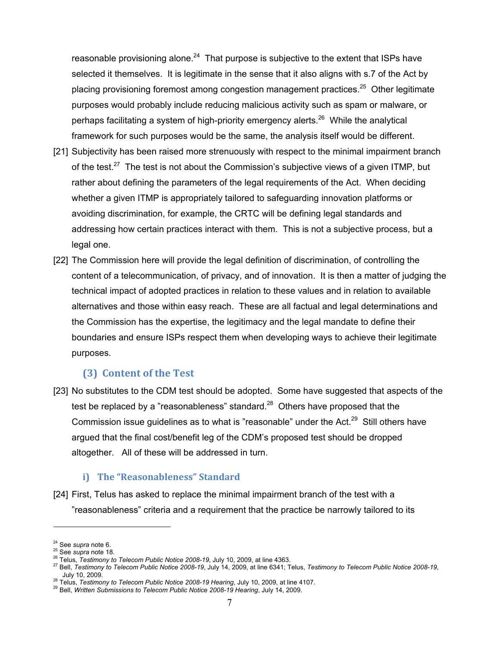reasonable provisioning alone.<sup>24</sup> That purpose is subjective to the extent that ISPs have selected it themselves. It is legitimate in the sense that it also aligns with s.7 of the Act by placing provisioning foremost among congestion management practices.<sup>25</sup> Other legitimate purposes would probably include reducing malicious activity such as spam or malware, or perhaps facilitating a system of high-priority emergency alerts.<sup>26</sup> While the analytical framework for such purposes would be the same, the analysis itself would be different.

- [21] Subjectivity has been raised more strenuously with respect to the minimal impairment branch of the test.<sup>27</sup> The test is not about the Commission's subjective views of a given ITMP, but rather about defining the parameters of the legal requirements of the Act. When deciding whether a given ITMP is appropriately tailored to safeguarding innovation platforms or avoiding discrimination, for example, the CRTC will be defining legal standards and addressing how certain practices interact with them. This is not a subjective process, but a legal one.
- [22] The Commission here will provide the legal definition of discrimination, of controlling the content of a telecommunication, of privacy, and of innovation. It is then a matter of judging the technical impact of adopted practices in relation to these values and in relation to available alternatives and those within easy reach. These are all factual and legal determinations and the Commission has the expertise, the legitimacy and the legal mandate to define their boundaries and ensure ISPs respect them when developing ways to achieve their legitimate purposes.

#### **(3) Content of the Test**

[23] No substitutes to the CDM test should be adopted. Some have suggested that aspects of the test be replaced by a "reasonableness" standard.<sup>28</sup> Others have proposed that the Commission issue guidelines as to what is "reasonable" under the Act.<sup>29</sup> Still others have argued that the final cost/benefit leg of the CDM's proposed test should be dropped altogether. All of these will be addressed in turn.

#### **i) The "Reasonableness" Standard**

[24] First, Telus has asked to replace the minimal impairment branch of the test with a "reasonableness" criteria and a requirement that the practice be narrowly tailored to its

<sup>&</sup>lt;sup>24</sup> See supra note 6.<br><sup>25</sup> See supra note 18.<br><sup>26</sup> Telus, *Testimony to Telecom Public Notice 2008-19*, July 10, 2009, at line 4363.<br><sup>27</sup> Bell, *Testimony to Telecom Public Notice 2008-19*, July 14, 2009, at line 6341; T

<sup>&</sup>lt;sup>28</sup> Telus, *Testimony to Telecom Public Notice 2008-19 Hearing*, July 10, 2009, at line 4107.<br><sup>29</sup> Bell, *Written Submissions to Telecom Public Notice 2008-19 Hearing*, July 14, 2009.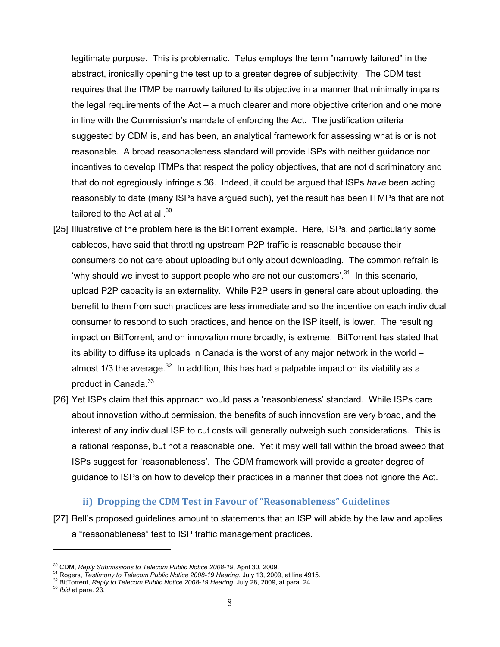legitimate purpose. This is problematic. Telus employs the term "narrowly tailored" in the abstract, ironically opening the test up to a greater degree of subjectivity. The CDM test requires that the ITMP be narrowly tailored to its objective in a manner that minimally impairs the legal requirements of the Act – a much clearer and more objective criterion and one more in line with the Commission's mandate of enforcing the Act. The justification criteria suggested by CDM is, and has been, an analytical framework for assessing what is or is not reasonable. A broad reasonableness standard will provide ISPs with neither guidance nor incentives to develop ITMPs that respect the policy objectives, that are not discriminatory and that do not egregiously infringe s.36. Indeed, it could be argued that ISPs *have* been acting reasonably to date (many ISPs have argued such), yet the result has been ITMPs that are not tailored to the Act at all. $30<sup>30</sup>$ 

- [25] Illustrative of the problem here is the BitTorrent example. Here, ISPs, and particularly some cablecos, have said that throttling upstream P2P traffic is reasonable because their consumers do not care about uploading but only about downloading. The common refrain is 'why should we invest to support people who are not our customers'.<sup>31</sup> In this scenario, upload P2P capacity is an externality. While P2P users in general care about uploading, the benefit to them from such practices are less immediate and so the incentive on each individual consumer to respond to such practices, and hence on the ISP itself, is lower. The resulting impact on BitTorrent, and on innovation more broadly, is extreme. BitTorrent has stated that its ability to diffuse its uploads in Canada is the worst of any major network in the world – almost 1/3 the average. $32$  In addition, this has had a palpable impact on its viability as a product in Canada.<sup>33</sup>
- [26] Yet ISPs claim that this approach would pass a 'reasonbleness' standard. While ISPs care about innovation without permission, the benefits of such innovation are very broad, and the interest of any individual ISP to cut costs will generally outweigh such considerations. This is a rational response, but not a reasonable one. Yet it may well fall within the broad sweep that ISPs suggest for 'reasonableness'. The CDM framework will provide a greater degree of guidance to ISPs on how to develop their practices in a manner that does not ignore the Act.

#### **ii) Dropping the CDM Test in Favour of "Reasonableness" Guidelines**

[27] Bell's proposed guidelines amount to statements that an ISP will abide by the law and applies a "reasonableness" test to ISP traffic management practices.

<sup>&</sup>lt;sup>30</sup> CDM, *Reply Submissions to Telecom Public Notice 2008-19*, April 30, 2009.<br><sup>31</sup> Rogers, *Testimony to Telecom Public Notice 2008-19 Hearing*, July 13, 2009, at line 4915.<br><sup>32</sup> BitTorrent, *Reply to Telecom Public Not*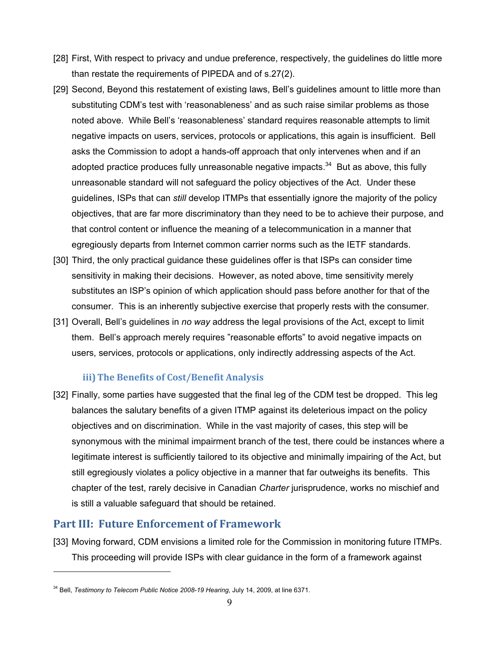- [28] First, With respect to privacy and undue preference, respectively, the guidelines do little more than restate the requirements of PIPEDA and of s.27(2).
- [29] Second, Beyond this restatement of existing laws, Bell's guidelines amount to little more than substituting CDM's test with 'reasonableness' and as such raise similar problems as those noted above. While Bell's 'reasonableness' standard requires reasonable attempts to limit negative impacts on users, services, protocols or applications, this again is insufficient. Bell asks the Commission to adopt a hands-off approach that only intervenes when and if an adopted practice produces fully unreasonable negative impacts.<sup>34</sup> But as above, this fully unreasonable standard will not safeguard the policy objectives of the Act. Under these guidelines, ISPs that can *still* develop ITMPs that essentially ignore the majority of the policy objectives, that are far more discriminatory than they need to be to achieve their purpose, and that control content or influence the meaning of a telecommunication in a manner that egregiously departs from Internet common carrier norms such as the IETF standards.
- [30] Third, the only practical guidance these guidelines offer is that ISPs can consider time sensitivity in making their decisions. However, as noted above, time sensitivity merely substitutes an ISP's opinion of which application should pass before another for that of the consumer. This is an inherently subjective exercise that properly rests with the consumer.
- [31] Overall, Bell's guidelines in *no way* address the legal provisions of the Act, except to limit them. Bell's approach merely requires "reasonable efforts" to avoid negative impacts on users, services, protocols or applications, only indirectly addressing aspects of the Act.

#### **iii)The Benefits of Cost/Benefit Analysis**

[32] Finally, some parties have suggested that the final leg of the CDM test be dropped. This leg balances the salutary benefits of a given ITMP against its deleterious impact on the policy objectives and on discrimination. While in the vast majority of cases, this step will be synonymous with the minimal impairment branch of the test, there could be instances where a legitimate interest is sufficiently tailored to its objective and minimally impairing of the Act, but still egregiously violates a policy objective in a manner that far outweighs its benefits. This chapter of the test, rarely decisive in Canadian *Charter* jurisprudence, works no mischief and is still a valuable safeguard that should be retained.

# **Part III: Future Enforcement of Framework**

 $\overline{a}$ 

[33] Moving forward, CDM envisions a limited role for the Commission in monitoring future ITMPs. This proceeding will provide ISPs with clear guidance in the form of a framework against

<sup>34</sup> Bell, *Testimony to Telecom Public Notice 2008-19 Hearing*, July 14, 2009, at line 6371.